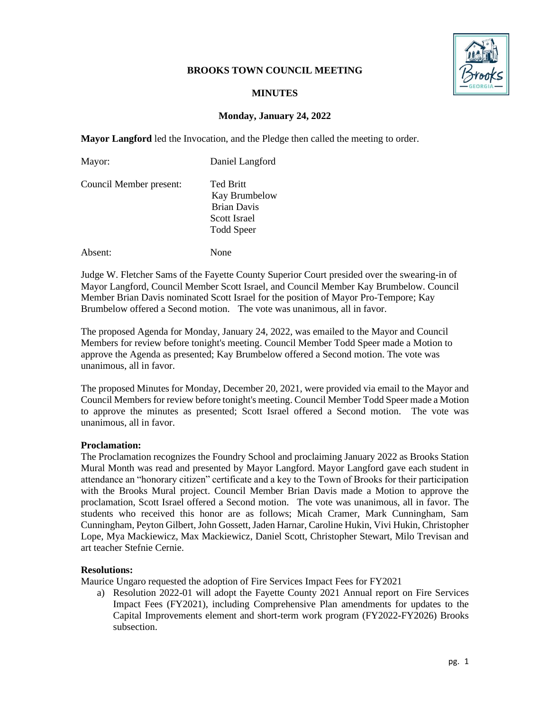# **BROOKS TOWN COUNCIL MEETING**



# **MINUTES**

# **Monday, January 24, 2022**

**Mayor Langford** led the Invocation, and the Pledge then called the meeting to order.

| Mayor:                  | Daniel Langford                                                                       |
|-------------------------|---------------------------------------------------------------------------------------|
| Council Member present: | <b>Ted Britt</b><br>Kay Brumbelow<br><b>Brian Davis</b><br>Scott Israel<br>Todd Speer |
|                         |                                                                                       |

Absent: None

Judge W. Fletcher Sams of the Fayette County Superior Court presided over the swearing-in of Mayor Langford, Council Member Scott Israel, and Council Member Kay Brumbelow. Council Member Brian Davis nominated Scott Israel for the position of Mayor Pro-Tempore; Kay Brumbelow offered a Second motion. The vote was unanimous, all in favor.

The proposed Agenda for Monday, January 24, 2022, was emailed to the Mayor and Council Members for review before tonight's meeting. Council Member Todd Speer made a Motion to approve the Agenda as presented; Kay Brumbelow offered a Second motion. The vote was unanimous, all in favor.

The proposed Minutes for Monday, December 20, 2021, were provided via email to the Mayor and Council Members for review before tonight's meeting. Council Member Todd Speer made a Motion to approve the minutes as presented; Scott Israel offered a Second motion. The vote was unanimous, all in favor.

### **Proclamation:**

The Proclamation recognizes the Foundry School and proclaiming January 2022 as Brooks Station Mural Month was read and presented by Mayor Langford. Mayor Langford gave each student in attendance an "honorary citizen" certificate and a key to the Town of Brooks for their participation with the Brooks Mural project. Council Member Brian Davis made a Motion to approve the proclamation, Scott Israel offered a Second motion. The vote was unanimous, all in favor. The students who received this honor are as follows; Micah Cramer, Mark Cunningham, Sam Cunningham, Peyton Gilbert, John Gossett, Jaden Harnar, Caroline Hukin, Vivi Hukin, Christopher Lope, Mya Mackiewicz, Max Mackiewicz, Daniel Scott, Christopher Stewart, Milo Trevisan and art teacher Stefnie Cernie.

# **Resolutions:**

Maurice Ungaro requested the adoption of Fire Services Impact Fees for FY2021

a) Resolution 2022-01 will adopt the Fayette County 2021 Annual report on Fire Services Impact Fees (FY2021), including Comprehensive Plan amendments for updates to the Capital Improvements element and short-term work program (FY2022-FY2026) Brooks subsection.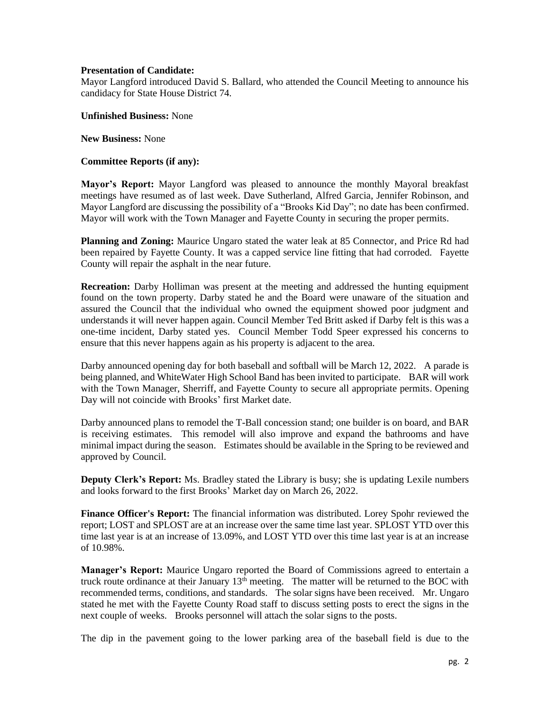### **Presentation of Candidate:**

Mayor Langford introduced David S. Ballard, who attended the Council Meeting to announce his candidacy for State House District 74.

### **Unfinished Business:** None

**New Business:** None

### **Committee Reports (if any):**

**Mayor's Report:** Mayor Langford was pleased to announce the monthly Mayoral breakfast meetings have resumed as of last week. Dave Sutherland, Alfred Garcia, Jennifer Robinson, and Mayor Langford are discussing the possibility of a "Brooks Kid Day"; no date has been confirmed. Mayor will work with the Town Manager and Fayette County in securing the proper permits.

**Planning and Zoning:** Maurice Ungaro stated the water leak at 85 Connector, and Price Rd had been repaired by Fayette County. It was a capped service line fitting that had corroded. Fayette County will repair the asphalt in the near future.

**Recreation:** Darby Holliman was present at the meeting and addressed the hunting equipment found on the town property. Darby stated he and the Board were unaware of the situation and assured the Council that the individual who owned the equipment showed poor judgment and understands it will never happen again. Council Member Ted Britt asked if Darby felt is this was a one-time incident, Darby stated yes. Council Member Todd Speer expressed his concerns to ensure that this never happens again as his property is adjacent to the area.

Darby announced opening day for both baseball and softball will be March 12, 2022. A parade is being planned, and WhiteWater High School Band has been invited to participate. BAR will work with the Town Manager, Sherriff, and Fayette County to secure all appropriate permits. Opening Day will not coincide with Brooks' first Market date.

Darby announced plans to remodel the T-Ball concession stand; one builder is on board, and BAR is receiving estimates. This remodel will also improve and expand the bathrooms and have minimal impact during the season. Estimates should be available in the Spring to be reviewed and approved by Council.

**Deputy Clerk's Report:** Ms. Bradley stated the Library is busy; she is updating Lexile numbers and looks forward to the first Brooks' Market day on March 26, 2022.

**Finance Officer's Report:** The financial information was distributed. Lorey Spohr reviewed the report; LOST and SPLOST are at an increase over the same time last year. SPLOST YTD over this time last year is at an increase of 13.09%, and LOST YTD over this time last year is at an increase of 10.98%.

**Manager's Report:** Maurice Ungaro reported the Board of Commissions agreed to entertain a truck route ordinance at their January  $13<sup>th</sup>$  meeting. The matter will be returned to the BOC with recommended terms, conditions, and standards. The solar signs have been received. Mr. Ungaro stated he met with the Fayette County Road staff to discuss setting posts to erect the signs in the next couple of weeks. Brooks personnel will attach the solar signs to the posts.

The dip in the pavement going to the lower parking area of the baseball field is due to the